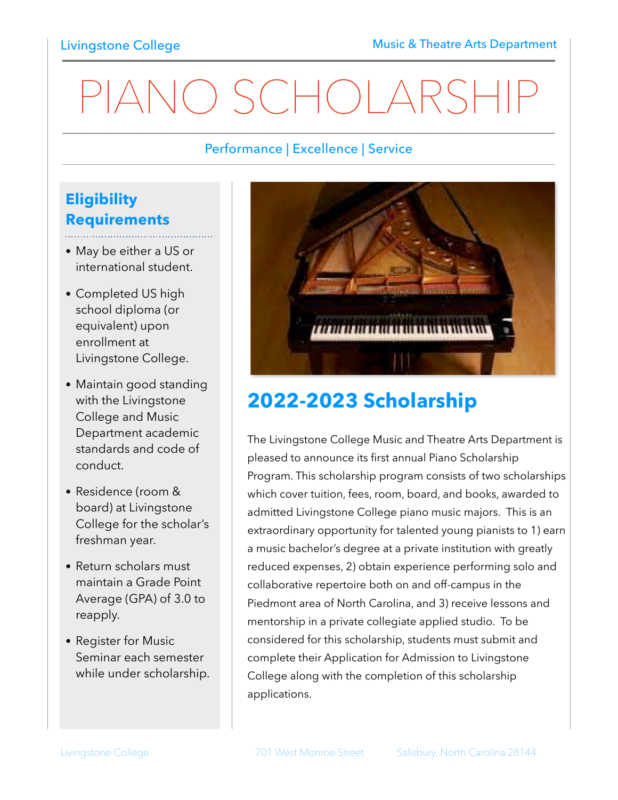# PIANO SCHOLARSHIP

#### Performance | Excellence | Service

### **Eligibility Requirements**

• May be either a US or international student.

- Completed US high school diploma (or equivalent) upon enrollment at Livingstone College.
- Maintain good standing with the Livingstone College and Music Department academic standards and code of conduct.
- Residence (room & board) at Livingstone College for the scholar's freshman year.
- Return scholars must maintain a Grade Point Average (GPA) of 3.0 to reapply.
- Register for Music Seminar each semester while under scholarship.



## **2022-2023 Scholarship**

The Livingstone College Music and Theatre Arts Department is pleased to announce its first annual Piano Scholarship Program. This scholarship program consists of two scholarships which cover tuition, fees, room, board, and books, awarded to admitted Livingstone College piano music majors. This is an extraordinary opportunity for talented young pianists to 1) earn a music bachelor's degree at a private institution with greatly reduced expenses, 2) obtain experience performing solo and collaborative repertoire both on and off-campus in the Piedmont area of North Carolina, and 3) receive lessons and mentorship in a private collegiate applied studio. To be considered for this scholarship, students must submit and complete their Application for Admission to Livingstone College along with the completion of this scholarship applications.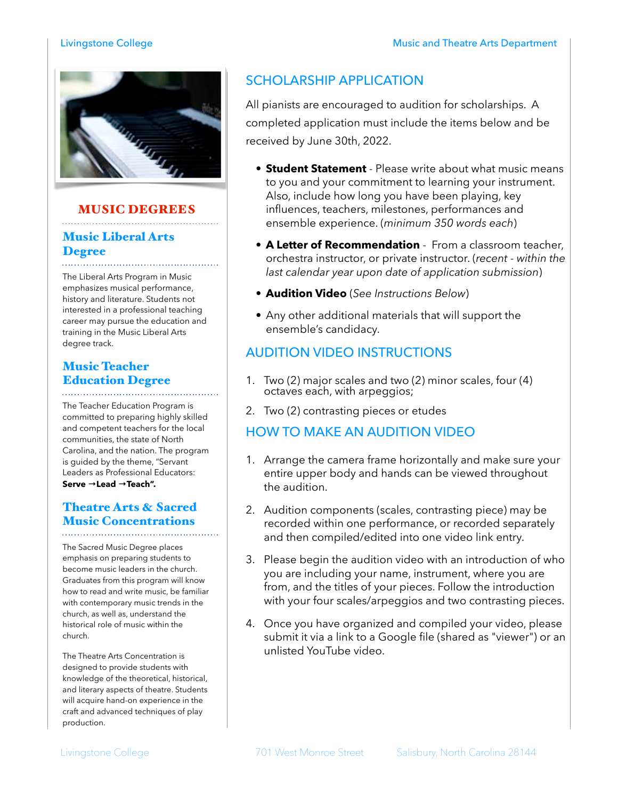

#### MUSIC DEGREES

#### Music Liberal Arts Degree

The Liberal Arts Program in Music emphasizes musical performance, history and literature. Students not interested in a professional teaching career may pursue the education and training in the Music Liberal Arts degree track.

#### Music Teacher Education Degree

The Teacher Education Program is committed to preparing highly skilled and competent teachers for the local communities, the state of North Carolina, and the nation. The program is guided by the theme, "Servant Leaders as Professional Educators: **Serve →Lead →Teach".** 

#### Theatre Arts & Sacred Music Concentrations

The Sacred Music Degree places emphasis on preparing students to become music leaders in the church. Graduates from this program will know how to read and write music, be familiar with contemporary music trends in the church, as well as, understand the historical role of music within the church.

The Theatre Arts Concentration is designed to provide students with knowledge of the theoretical, historical, and literary aspects of theatre. Students will acquire hand-on experience in the craft and advanced techniques of play production.

#### SCHOLARSHIP APPLICATION

All pianists are encouraged to audition for scholarships. A completed application must include the items below and be received by June 30th, 2022.

- **Student Statement** Please write about what music means to you and your commitment to learning your instrument. Also, include how long you have been playing, key influences, teachers, milestones, performances and ensemble experience. (*minimum 350 words each*)
- **A Letter of Recommendation** From a classroom teacher, orchestra instructor, or private instructor. (*recent - within the last calendar year upon date of application submission*)
- **Audition Video** (*See Instructions Below*)
- Any other additional materials that will support the ensemble's candidacy.

#### AUDITION VIDEO INSTRUCTIONS

- 1. Two (2) major scales and two (2) minor scales, four (4) octaves each, with arpeggios;
- 2. Two (2) contrasting pieces or etudes

#### HOW TO MAKE AN AUDITION VIDEO

- 1. Arrange the camera frame horizontally and make sure your entire upper body and hands can be viewed throughout the audition.
- 2. Audition components (scales, contrasting piece) may be recorded within one performance, or recorded separately and then compiled/edited into one video link entry.
- 3. Please begin the audition video with an introduction of who you are including your name, instrument, where you are from, and the titles of your pieces. Follow the introduction with your four scales/arpeggios and two contrasting pieces.
- 4. Once you have organized and compiled your video, please submit it via a link to a Google file (shared as "viewer") or an unlisted YouTube video.